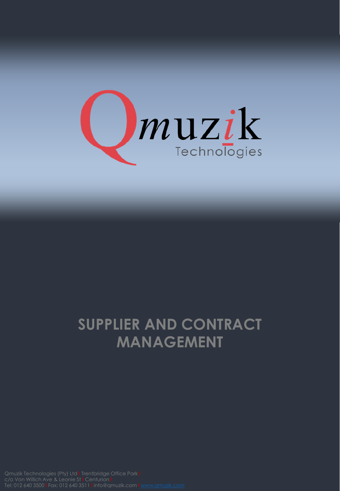

## **SUPPLIER AND CONTRACT MANAGEMENT**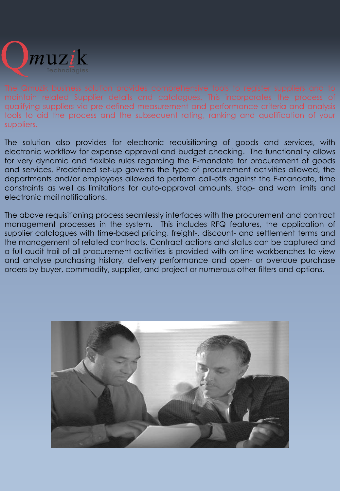

qualifying suppliers via pre-defined measurement and performance criteria and analysis tools to aid the process and the subsequent rating, ranking and qualification of your suppliers.

The solution also provides for electronic requisitioning of goods and services, with electronic workflow for expense approval and budget checking. The functionality allows for very dynamic and flexible rules regarding the E-mandate for procurement of goods and services. Predefined set-up governs the type of procurement activities allowed, the departments and/or employees allowed to perform call-offs against the E-mandate, time constraints as well as limitations for auto-approval amounts, stop- and warn limits and electronic mail notifications.

The above requisitioning process seamlessly interfaces with the procurement and contract management processes in the system. This includes RFQ features, the application of supplier catalogues with time-based pricing, freight-, discount- and settlement terms and the management of related contracts. Contract actions and status can be captured and a full audit trail of all procurement activities is provided with on-line workbenches to view and analyse purchasing history, delivery performance and open- or overdue purchase orders by buyer, commodity, supplier, and project or numerous other filters and options.